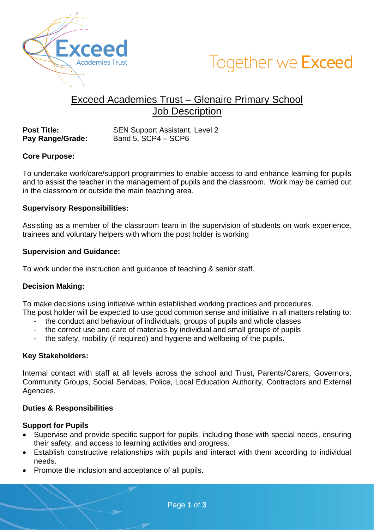



# Exceed Academies Trust – Glenaire Primary School Job Description

**Post Title:** SEN Support Assistant, Level 2<br> **Pay Range/Grade:** Band 5, SCP4 – SCP6 **Band 5, SCP4 – SCP6** 

# **Core Purpose:**

To undertake work/care/support programmes to enable access to and enhance learning for pupils and to assist the teacher in the management of pupils and the classroom. Work may be carried out in the classroom or outside the main teaching area.

### **Supervisory Responsibilities:**

Assisting as a member of the classroom team in the supervision of students on work experience, trainees and voluntary helpers with whom the post holder is working

### **Supervision and Guidance:**

To work under the instruction and guidance of teaching & senior staff.

# **Decision Making:**

To make decisions using initiative within established working practices and procedures.

The post holder will be expected to use good common sense and initiative in all matters relating to:

- the conduct and behaviour of individuals, groups of pupils and whole classes
- the correct use and care of materials by individual and small groups of pupils
- the safety, mobility (if required) and hygiene and wellbeing of the pupils.

### **Key Stakeholders:**

Internal contact with staff at all levels across the school and Trust, Parents/Carers, Governors, Community Groups, Social Services, Police, Local Education Authority, Contractors and External Agencies.

# **Duties & Responsibilities**

### **Support for Pupils**

- Supervise and provide specific support for pupils, including those with special needs, ensuring their safety, and access to learning activities and progress.
- Establish constructive relationships with pupils and interact with them according to individual needs.
- Promote the inclusion and acceptance of all pupils.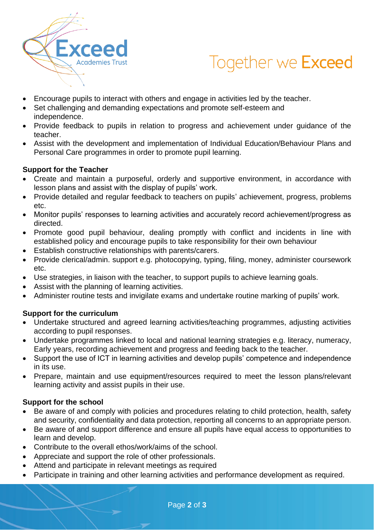

# Together we Exceed

- Encourage pupils to interact with others and engage in activities led by the teacher.
- Set challenging and demanding expectations and promote self-esteem and independence.
- Provide feedback to pupils in relation to progress and achievement under guidance of the teacher.
- Assist with the development and implementation of Individual Education/Behaviour Plans and Personal Care programmes in order to promote pupil learning.

# **Support for the Teacher**

- Create and maintain a purposeful, orderly and supportive environment, in accordance with lesson plans and assist with the display of pupils' work.
- Provide detailed and regular feedback to teachers on pupils' achievement, progress, problems etc.
- Monitor pupils' responses to learning activities and accurately record achievement/progress as directed.
- Promote good pupil behaviour, dealing promptly with conflict and incidents in line with established policy and encourage pupils to take responsibility for their own behaviour
- Establish constructive relationships with parents/carers.
- Provide clerical/admin. support e.g. photocopying, typing, filing, money, administer coursework etc.
- Use strategies, in liaison with the teacher, to support pupils to achieve learning goals.
- Assist with the planning of learning activities.
- Administer routine tests and invigilate exams and undertake routine marking of pupils' work.

# **Support for the curriculum**

- Undertake structured and agreed learning activities/teaching programmes, adjusting activities according to pupil responses.
- Undertake programmes linked to local and national learning strategies e.g. literacy, numeracy, Early years, recording achievement and progress and feeding back to the teacher.
- Support the use of ICT in learning activities and develop pupils' competence and independence in its use.
- Prepare, maintain and use equipment/resources required to meet the lesson plans/relevant learning activity and assist pupils in their use.

# **Support for the school**

- Be aware of and comply with policies and procedures relating to child protection, health, safety and security, confidentiality and data protection, reporting all concerns to an appropriate person.
- Be aware of and support difference and ensure all pupils have equal access to opportunities to learn and develop.
- Contribute to the overall ethos/work/aims of the school.
- Appreciate and support the role of other professionals.
- Attend and participate in relevant meetings as required
- Participate in training and other learning activities and performance development as required.